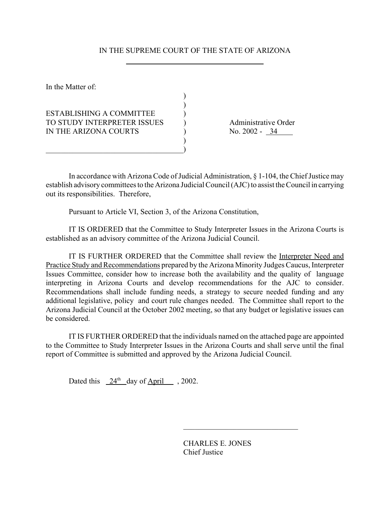## IN THE SUPREME COURT OF THE STATE OF ARIZONA

 $\lambda$  $\lambda$ 

)

In the Matter of:

ESTABLISHING A COMMITTEE ) TO STUDY INTERPRETER ISSUES (a) Administrative Order<br>
IN THE ARIZONA COURTS (2002 - 34 IN THE ARIZONA COURTS (No. 2002 - 34

 $\qquad \qquad )$ 

In accordance with Arizona Code of Judicial Administration, § 1-104, the Chief Justice may establish advisory committees to the Arizona Judicial Council (AJC) to assist the Council in carrying out its responsibilities. Therefore,

Pursuant to Article VI, Section 3, of the Arizona Constitution,

IT IS ORDERED that the Committee to Study Interpreter Issues in the Arizona Courts is established as an advisory committee of the Arizona Judicial Council.

IT IS FURTHER ORDERED that the Committee shall review the Interpreter Need and Practice Study and Recommendations prepared by the Arizona Minority Judges Caucus, Interpreter Issues Committee, consider how to increase both the availability and the quality of language interpreting in Arizona Courts and develop recommendations for the AJC to consider. Recommendations shall include funding needs, a strategy to secure needed funding and any additional legislative, policy and court rule changes needed. The Committee shall report to the Arizona Judicial Council at the October 2002 meeting, so that any budget or legislative issues can be considered.

IT IS FURTHER ORDERED that the individuals named on the attached page are appointed to the Committee to Study Interpreter Issues in the Arizona Courts and shall serve until the final report of Committee is submitted and approved by the Arizona Judicial Council.

Dated this  $24<sup>th</sup>$  day of April , 2002.

CHARLES E. JONES Chief Justice

 $\mathcal{L}_\text{max}$  , where  $\mathcal{L}_\text{max}$  and  $\mathcal{L}_\text{max}$  and  $\mathcal{L}_\text{max}$